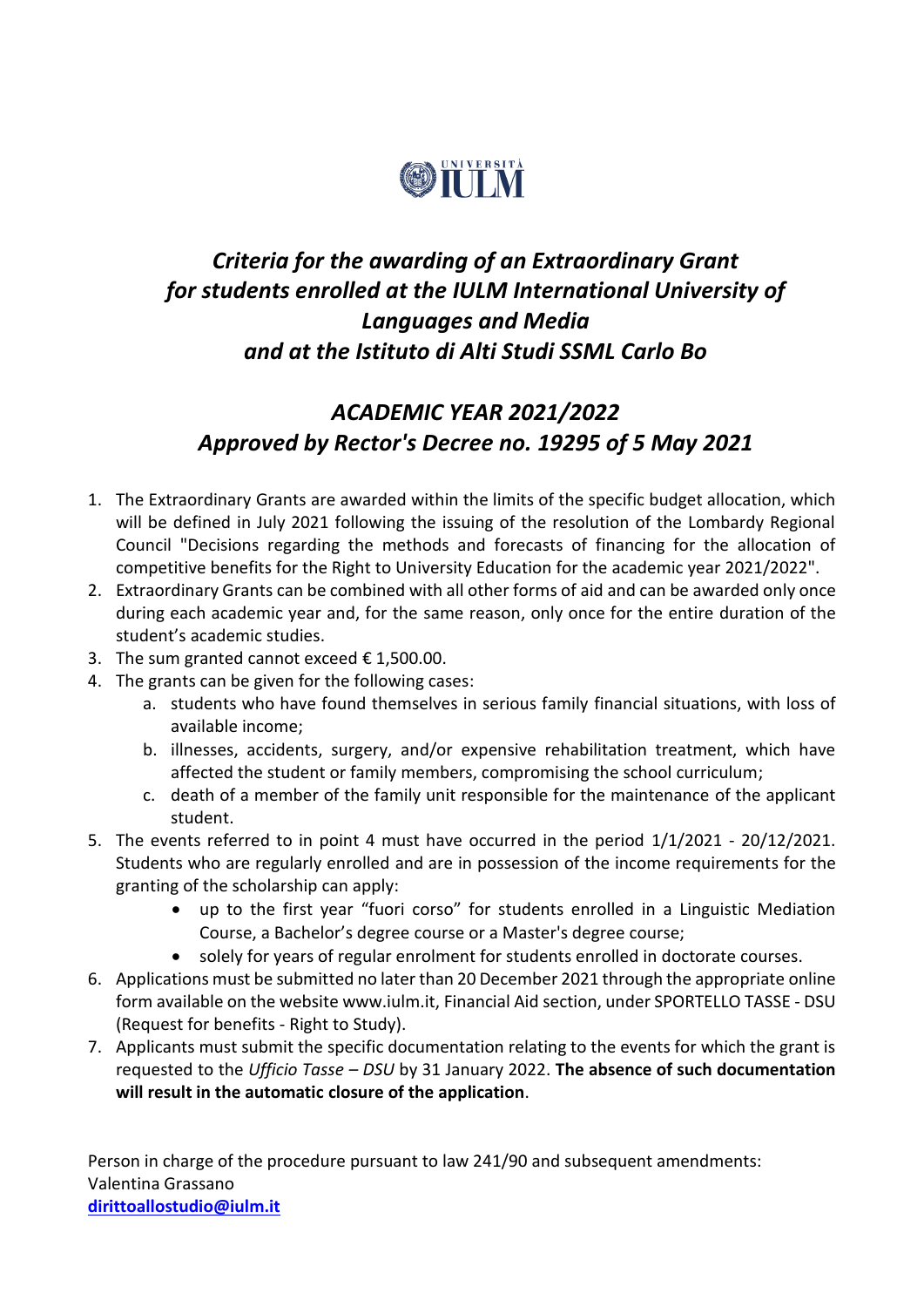

# *Criteria for the awarding of an Extraordinary Grant for students enrolled at the IULM International University of Languages and Media and at the Istituto di Alti Studi SSML Carlo Bo*

# *ACADEMIC YEAR 2021/2022 Approved by Rector's Decree no. 19295 of 5 May 2021*

- 1. The Extraordinary Grants are awarded within the limits of the specific budget allocation, which will be defined in July 2021 following the issuing of the resolution of the Lombardy Regional Council "Decisions regarding the methods and forecasts of financing for the allocation of competitive benefits for the Right to University Education for the academic year 2021/2022".
- 2. Extraordinary Grants can be combined with all other forms of aid and can be awarded only once during each academic year and, for the same reason, only once for the entire duration of the student's academic studies.
- 3. The sum granted cannot exceed  $\epsilon$  1,500.00.
- 4. The grants can be given for the following cases:
	- a. students who have found themselves in serious family financial situations, with loss of available income;
	- b. illnesses, accidents, surgery, and/or expensive rehabilitation treatment, which have affected the student or family members, compromising the school curriculum;
	- c. death of a member of the family unit responsible for the maintenance of the applicant student.
- 5. The events referred to in point 4 must have occurred in the period 1/1/2021 20/12/2021. Students who are regularly enrolled and are in possession of the income requirements for the granting of the scholarship can apply:
	- up to the first year "fuori corso" for students enrolled in a Linguistic Mediation Course, a Bachelor's degree course or a Master's degree course;
	- solely for years of regular enrolment for students enrolled in doctorate courses.
- 6. Applications must be submitted no later than 20 December 2021 through the appropriate online form available on the website www.iulm.it, Financial Aid section, under SPORTELLO TASSE - DSU (Request for benefits - Right to Study).
- 7. Applicants must submit the specific documentation relating to the events for which the grant is requested to the *Ufficio Tasse – DSU* by 31 January 2022. **The absence of such documentation will result in the automatic closure of the application**.

Person in charge of the procedure pursuant to law 241/90 and subsequent amendments: Valentina Grassano **[dirittoallostudio@iulm.it](mailto:dirittoallostudio@iulm.it)**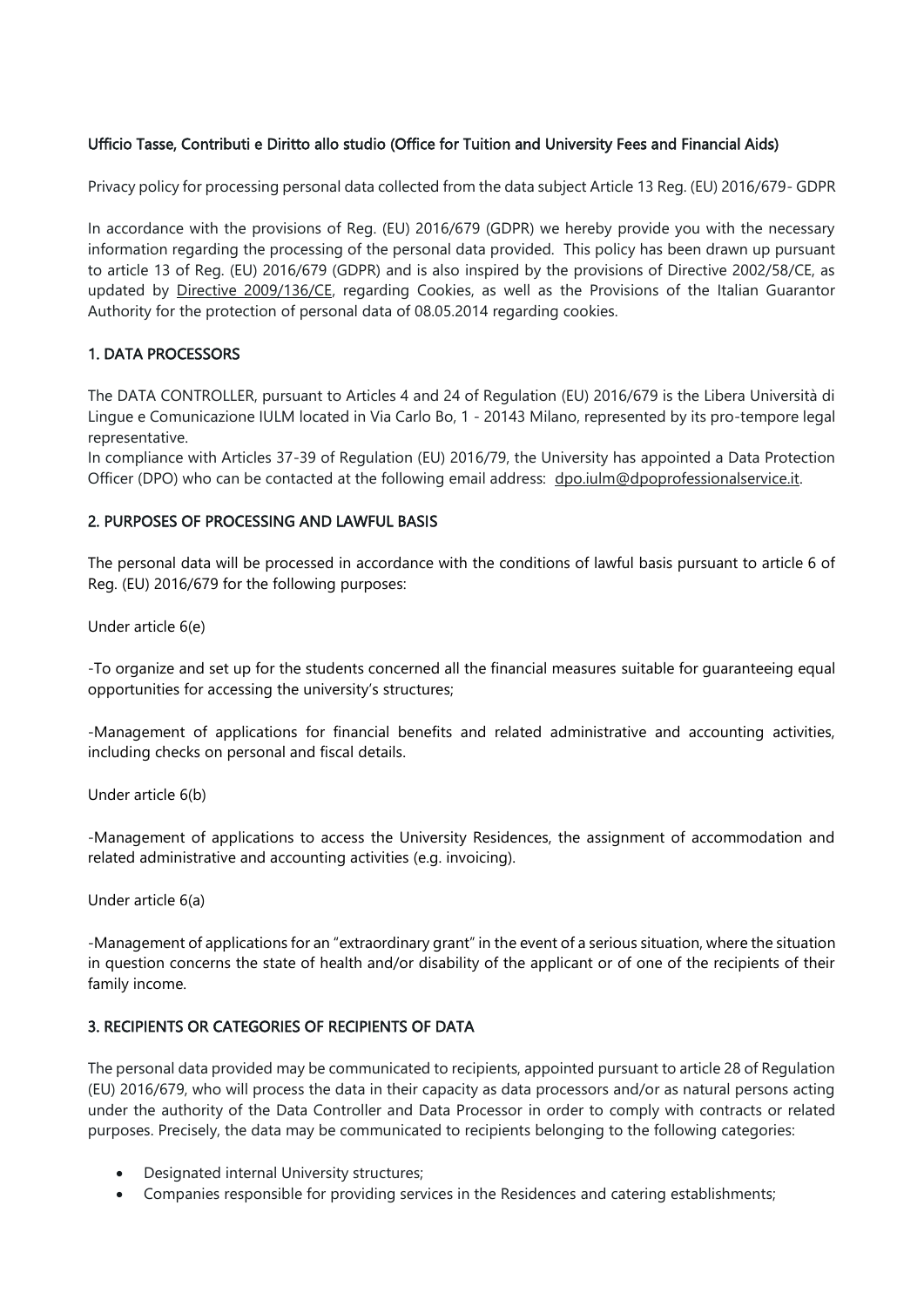## Ufficio Tasse, Contributi e Diritto allo studio (Office for Tuition and University Fees and Financial Aids)

Privacy policy for processing personal data collected from the data subject Article 13 Reg. (EU) 2016/679- GDPR

In accordance with the provisions of Reg. (EU) 2016/679 (GDPR) we hereby provide you with the necessary information regarding the processing of the personal data provided. This policy has been drawn up pursuant to article 13 of Reg. (EU) 2016/679 (GDPR) and is also inspired by the provisions of Directive 2002/58/CE, as updated by [Directive 2009/136/CE,](http://eur-lex.europa.eu/LexUriServ/LexUriServ.do?uri=OJ:L:2009:337:0011:0036:it:PDF) regarding Cookies, as well as the Provisions of the Italian Guarantor Authority for the protection of personal data of 08.05.2014 regarding cookies.

#### 1. DATA PROCESSORS

The DATA CONTROLLER, pursuant to Articles 4 and 24 of Regulation (EU) 2016/679 is the Libera Università di Lingue e Comunicazione IULM located in Via Carlo Bo, 1 - 20143 Milano, represented by its pro-tempore legal representative.

In compliance with Articles 37-39 of Regulation (EU) 2016/79, the University has appointed a Data Protection Officer (DPO) who can be contacted at the following email address: [dpo.iulm@dpoprofessionalservice.it.](mailto:dpo.iulm@dpoprofessionalservice.it)

#### 2. PURPOSES OF PROCESSING AND LAWFUL BASIS

The personal data will be processed in accordance with the conditions of lawful basis pursuant to article 6 of Reg. (EU) 2016/679 for the following purposes:

Under article 6(e)

-To organize and set up for the students concerned all the financial measures suitable for guaranteeing equal opportunities for accessing the university's structures;

-Management of applications for financial benefits and related administrative and accounting activities, including checks on personal and fiscal details.

Under article 6(b)

-Management of applications to access the University Residences, the assignment of accommodation and related administrative and accounting activities (e.g. invoicing).

Under article 6(a)

-Management of applications for an "extraordinary grant" in the event of a serious situation, where the situation in question concerns the state of health and/or disability of the applicant or of one of the recipients of their family income.

### 3. RECIPIENTS OR CATEGORIES OF RECIPIENTS OF DATA

The personal data provided may be communicated to recipients, appointed pursuant to article 28 of Regulation (EU) 2016/679, who will process the data in their capacity as data processors and/or as natural persons acting under the authority of the Data Controller and Data Processor in order to comply with contracts or related purposes. Precisely, the data may be communicated to recipients belonging to the following categories:

- Designated internal University structures;
- Companies responsible for providing services in the Residences and catering establishments;